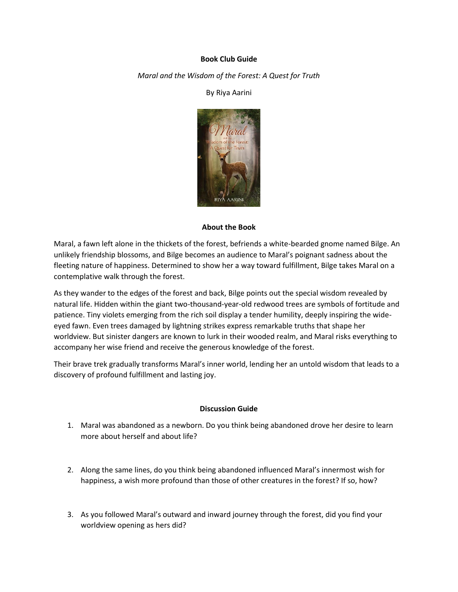### **Book Club Guide**

## *Maral and the Wisdom of the Forest: A Quest for Truth*

## By Riya Aarini



### **About the Book**

Maral, a fawn left alone in the thickets of the forest, befriends a white-bearded gnome named Bilge. An unlikely friendship blossoms, and Bilge becomes an audience to Maral's poignant sadness about the fleeting nature of happiness. Determined to show her a way toward fulfillment, Bilge takes Maral on a contemplative walk through the forest.

As they wander to the edges of the forest and back, Bilge points out the special wisdom revealed by natural life. Hidden within the giant two-thousand-year-old redwood trees are symbols of fortitude and patience. Tiny violets emerging from the rich soil display a tender humility, deeply inspiring the wideeyed fawn. Even trees damaged by lightning strikes express remarkable truths that shape her worldview. But sinister dangers are known to lurk in their wooded realm, and Maral risks everything to accompany her wise friend and receive the generous knowledge of the forest.

Their brave trek gradually transforms Maral's inner world, lending her an untold wisdom that leads to a discovery of profound fulfillment and lasting joy.

### **Discussion Guide**

- 1. Maral was abandoned as a newborn. Do you think being abandoned drove her desire to learn more about herself and about life?
- 2. Along the same lines, do you think being abandoned influenced Maral's innermost wish for happiness, a wish more profound than those of other creatures in the forest? If so, how?
- 3. As you followed Maral's outward and inward journey through the forest, did you find your worldview opening as hers did?